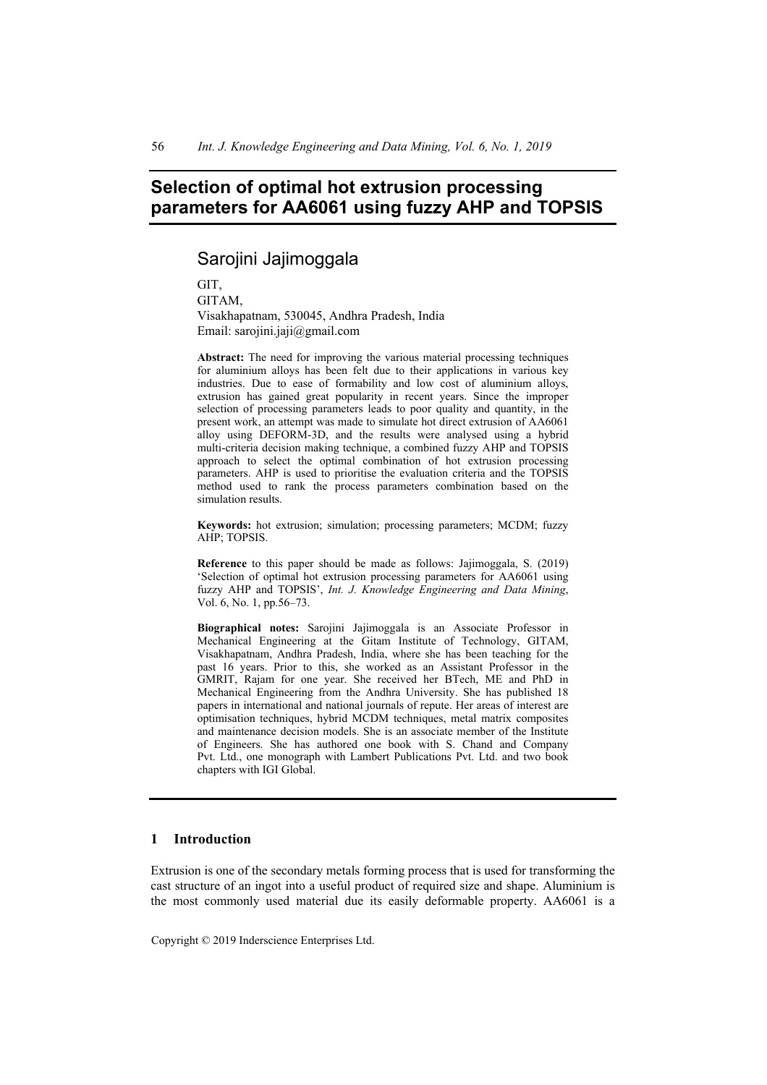# **Selection of optimal hot extrusion processing parameters for AA6061 using fuzzy AHP and TOPSIS**

Sarojini Jajimoggala

GIT, GITAM, Visakhapatnam, 530045, Andhra Pradesh, India Email: sarojini.jaji@gmail.com

**Abstract:** The need for improving the various material processing techniques for aluminium alloys has been felt due to their applications in various key industries. Due to ease of formability and low cost of aluminium alloys, extrusion has gained great popularity in recent years. Since the improper selection of processing parameters leads to poor quality and quantity, in the present work, an attempt was made to simulate hot direct extrusion of AA6061 alloy using DEFORM-3D, and the results were analysed using a hybrid multi-criteria decision making technique, a combined fuzzy AHP and TOPSIS approach to select the optimal combination of hot extrusion processing parameters. AHP is used to prioritise the evaluation criteria and the TOPSIS method used to rank the process parameters combination based on the simulation results.

**Keywords:** hot extrusion; simulation; processing parameters; MCDM; fuzzy AHP; TOPSIS.

**Reference** to this paper should be made as follows: Jajimoggala, S. (2019) 'Selection of optimal hot extrusion processing parameters for AA6061 using fuzzy AHP and TOPSIS', *Int. J. Knowledge Engineering and Data Mining*, Vol. 6, No. 1, pp.56–73.

**Biographical notes:** Sarojini Jajimoggala is an Associate Professor in Mechanical Engineering at the Gitam Institute of Technology, GITAM, Visakhapatnam, Andhra Pradesh, India, where she has been teaching for the past 16 years. Prior to this, she worked as an Assistant Professor in the GMRIT, Rajam for one year. She received her BTech, ME and PhD in Mechanical Engineering from the Andhra University. She has published 18 papers in international and national journals of repute. Her areas of interest are optimisation techniques, hybrid MCDM techniques, metal matrix composites and maintenance decision models. She is an associate member of the Institute of Engineers. She has authored one book with S. Chand and Company Pvt. Ltd., one monograph with Lambert Publications Pvt. Ltd. and two book chapters with IGI Global.

#### **1 Introduction**

Extrusion is one of the secondary metals forming process that is used for transforming the cast structure of an ingot into a useful product of required size and shape. Aluminium is the most commonly used material due its easily deformable property. AA6061 is a

Copyright © 2019 Inderscience Enterprises Ltd.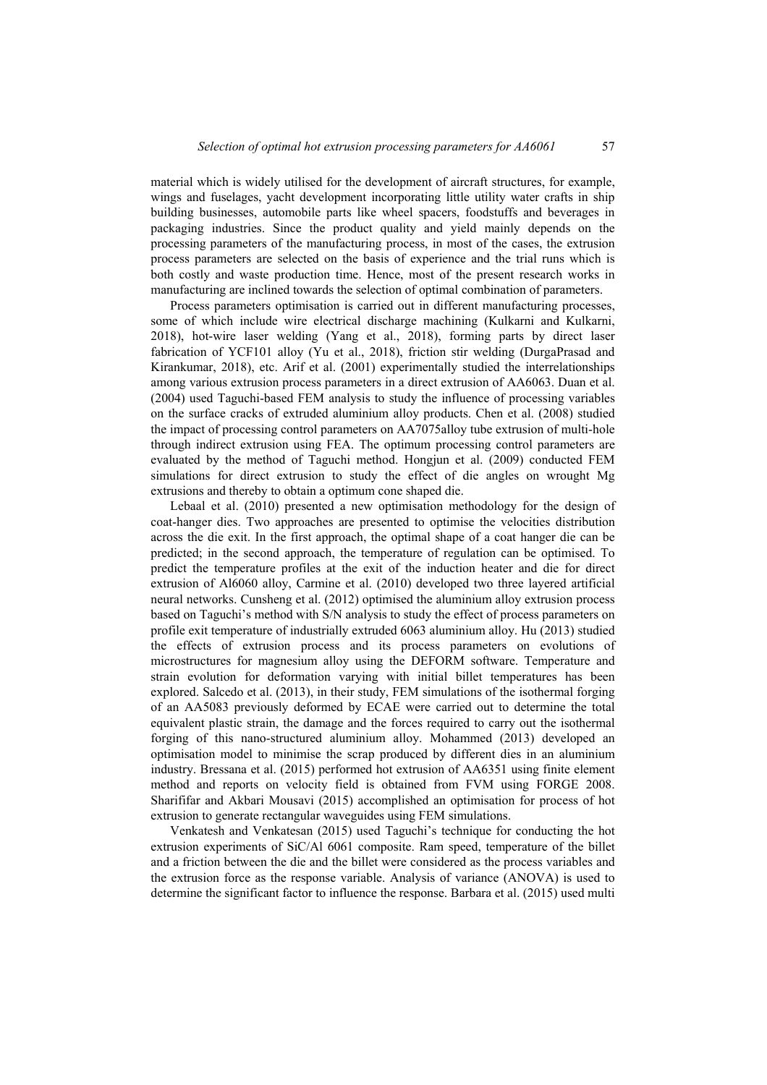material which is widely utilised for the development of aircraft structures, for example, wings and fuselages, yacht development incorporating little utility water crafts in ship building businesses, automobile parts like wheel spacers, foodstuffs and beverages in packaging industries. Since the product quality and yield mainly depends on the processing parameters of the manufacturing process, in most of the cases, the extrusion process parameters are selected on the basis of experience and the trial runs which is both costly and waste production time. Hence, most of the present research works in manufacturing are inclined towards the selection of optimal combination of parameters.

Process parameters optimisation is carried out in different manufacturing processes. some of which include wire electrical discharge machining (Kulkarni and Kulkarni, 2018), hot-wire laser welding (Yang et al., 2018), forming parts by direct laser fabrication of YCF101 alloy (Yu et al., 2018), friction stir welding (DurgaPrasad and Kirankumar, 2018), etc. Arif et al. (2001) experimentally studied the interrelationships among various extrusion process parameters in a direct extrusion of AA6063. Duan et al. (2004) used Taguchi-based FEM analysis to study the influence of processing variables on the surface cracks of extruded aluminium alloy products. Chen et al. (2008) studied the impact of processing control parameters on AA7075alloy tube extrusion of multi-hole through indirect extrusion using FEA. The optimum processing control parameters are evaluated by the method of Taguchi method. Hongjun et al. (2009) conducted FEM simulations for direct extrusion to study the effect of die angles on wrought Mg extrusions and thereby to obtain a optimum cone shaped die.

Lebaal et al. (2010) presented a new optimisation methodology for the design of coat-hanger dies. Two approaches are presented to optimise the velocities distribution across the die exit. In the first approach, the optimal shape of a coat hanger die can be predicted; in the second approach, the temperature of regulation can be optimised. To predict the temperature profiles at the exit of the induction heater and die for direct extrusion of Al6060 alloy, Carmine et al. (2010) developed two three layered artificial neural networks. Cunsheng et al. (2012) optimised the aluminium alloy extrusion process based on Taguchi's method with S/N analysis to study the effect of process parameters on profile exit temperature of industrially extruded 6063 aluminium alloy. Hu (2013) studied the effects of extrusion process and its process parameters on evolutions of microstructures for magnesium alloy using the DEFORM software. Temperature and strain evolution for deformation varying with initial billet temperatures has been explored. Salcedo et al. (2013), in their study, FEM simulations of the isothermal forging of an AA5083 previously deformed by ECAE were carried out to determine the total equivalent plastic strain, the damage and the forces required to carry out the isothermal forging of this nano-structured aluminium alloy. Mohammed (2013) developed an optimisation model to minimise the scrap produced by different dies in an aluminium industry. Bressana et al. (2015) performed hot extrusion of AA6351 using finite element method and reports on velocity field is obtained from FVM using FORGE 2008. Sharififar and Akbari Mousavi (2015) accomplished an optimisation for process of hot extrusion to generate rectangular waveguides using FEM simulations.

Venkatesh and Venkatesan (2015) used Taguchi's technique for conducting the hot extrusion experiments of SiC/Al 6061 composite. Ram speed, temperature of the billet and a friction between the die and the billet were considered as the process variables and the extrusion force as the response variable. Analysis of variance (ANOVA) is used to determine the significant factor to influence the response. Barbara et al. (2015) used multi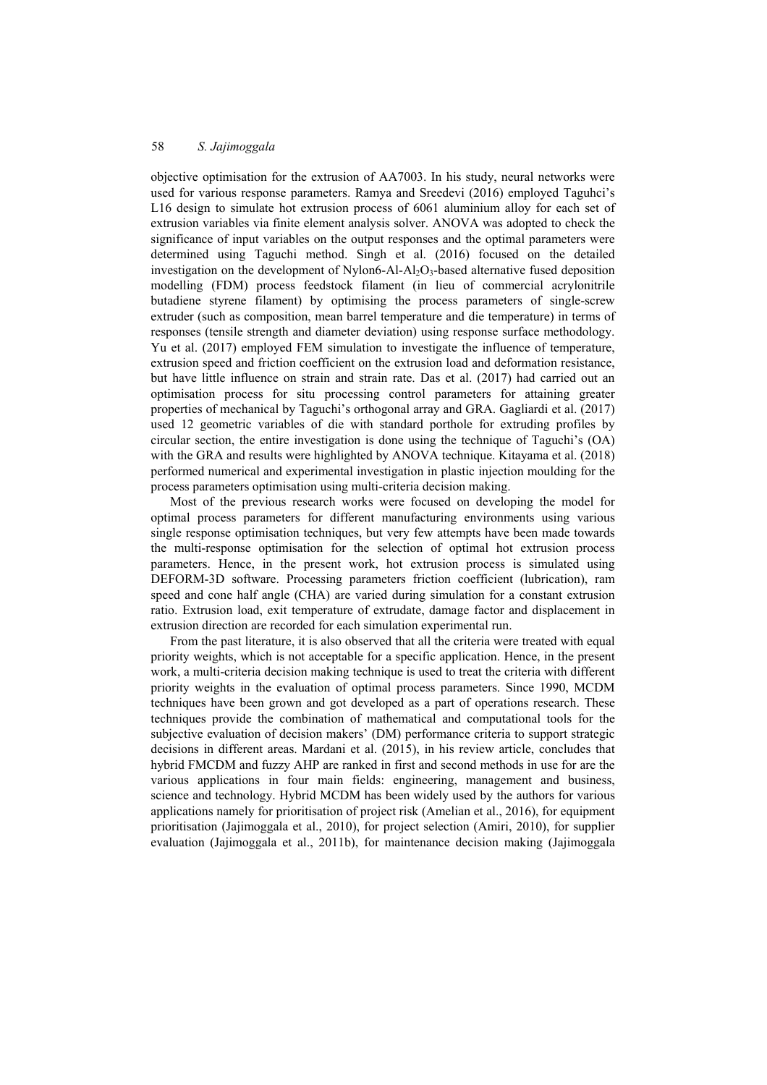objective optimisation for the extrusion of AA7003. In his study, neural networks were used for various response parameters. Ramya and Sreedevi (2016) employed Taguhci's L16 design to simulate hot extrusion process of 6061 aluminium alloy for each set of extrusion variables via finite element analysis solver. ANOVA was adopted to check the significance of input variables on the output responses and the optimal parameters were determined using Taguchi method. Singh et al. (2016) focused on the detailed investigation on the development of Nylon6-Al-Al<sub>2</sub>O<sub>3</sub>-based alternative fused deposition modelling (FDM) process feedstock filament (in lieu of commercial acrylonitrile butadiene styrene filament) by optimising the process parameters of single-screw extruder (such as composition, mean barrel temperature and die temperature) in terms of responses (tensile strength and diameter deviation) using response surface methodology. Yu et al. (2017) employed FEM simulation to investigate the influence of temperature, extrusion speed and friction coefficient on the extrusion load and deformation resistance, but have little influence on strain and strain rate. Das et al. (2017) had carried out an optimisation process for situ processing control parameters for attaining greater properties of mechanical by Taguchi's orthogonal array and GRA. Gagliardi et al. (2017) used 12 geometric variables of die with standard porthole for extruding profiles by circular section, the entire investigation is done using the technique of Taguchi's (OA) with the GRA and results were highlighted by ANOVA technique. Kitayama et al. (2018) performed numerical and experimental investigation in plastic injection moulding for the process parameters optimisation using multi-criteria decision making.

Most of the previous research works were focused on developing the model for optimal process parameters for different manufacturing environments using various single response optimisation techniques, but very few attempts have been made towards the multi-response optimisation for the selection of optimal hot extrusion process parameters. Hence, in the present work, hot extrusion process is simulated using DEFORM-3D software. Processing parameters friction coefficient (lubrication), ram speed and cone half angle (CHA) are varied during simulation for a constant extrusion ratio. Extrusion load, exit temperature of extrudate, damage factor and displacement in extrusion direction are recorded for each simulation experimental run.

From the past literature, it is also observed that all the criteria were treated with equal priority weights, which is not acceptable for a specific application. Hence, in the present work, a multi-criteria decision making technique is used to treat the criteria with different priority weights in the evaluation of optimal process parameters. Since 1990, MCDM techniques have been grown and got developed as a part of operations research. These techniques provide the combination of mathematical and computational tools for the subjective evaluation of decision makers' (DM) performance criteria to support strategic decisions in different areas. Mardani et al. (2015), in his review article, concludes that hybrid FMCDM and fuzzy AHP are ranked in first and second methods in use for are the various applications in four main fields: engineering, management and business, science and technology. Hybrid MCDM has been widely used by the authors for various applications namely for prioritisation of project risk (Amelian et al., 2016), for equipment prioritisation (Jajimoggala et al., 2010), for project selection (Amiri, 2010), for supplier evaluation (Jajimoggala et al., 2011b), for maintenance decision making (Jajimoggala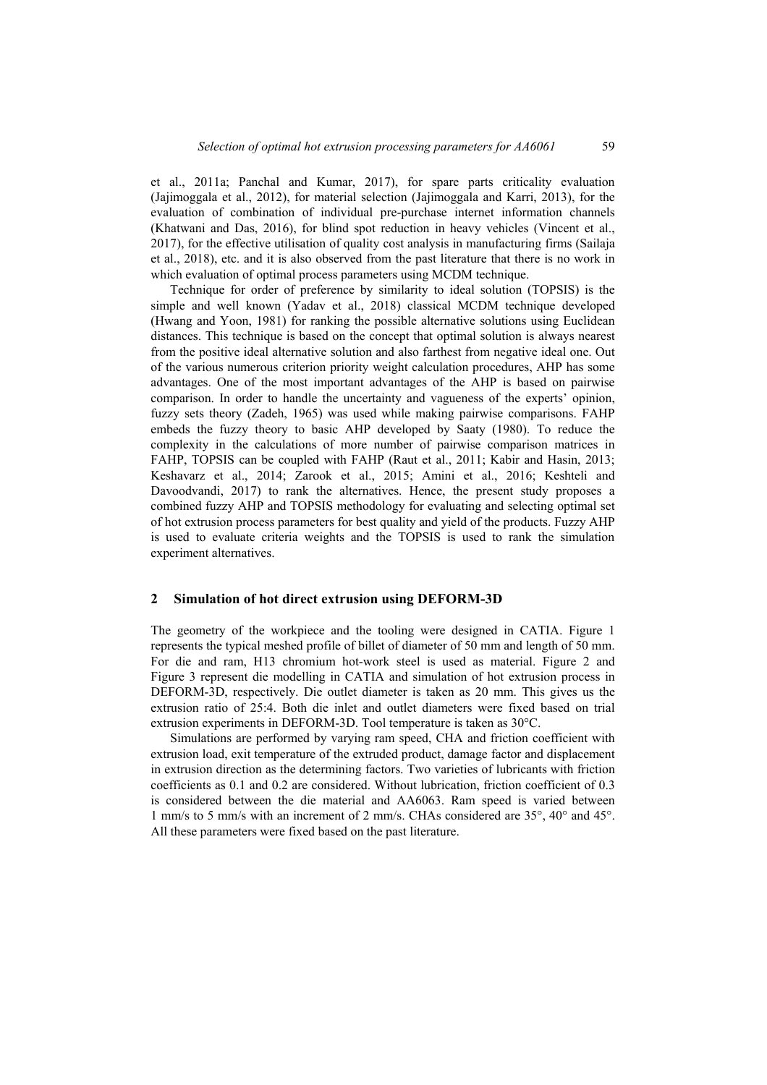et al., 2011a; Panchal and Kumar, 2017), for spare parts criticality evaluation (Jajimoggala et al., 2012), for material selection (Jajimoggala and Karri, 2013), for the evaluation of combination of individual pre-purchase internet information channels (Khatwani and Das, 2016), for blind spot reduction in heavy vehicles (Vincent et al., 2017), for the effective utilisation of quality cost analysis in manufacturing firms (Sailaja et al., 2018), etc. and it is also observed from the past literature that there is no work in which evaluation of optimal process parameters using MCDM technique.

Technique for order of preference by similarity to ideal solution (TOPSIS) is the simple and well known (Yadav et al., 2018) classical MCDM technique developed (Hwang and Yoon, 1981) for ranking the possible alternative solutions using Euclidean distances. This technique is based on the concept that optimal solution is always nearest from the positive ideal alternative solution and also farthest from negative ideal one. Out of the various numerous criterion priority weight calculation procedures, AHP has some advantages. One of the most important advantages of the AHP is based on pairwise comparison. In order to handle the uncertainty and vagueness of the experts' opinion, fuzzy sets theory (Zadeh, 1965) was used while making pairwise comparisons. FAHP embeds the fuzzy theory to basic AHP developed by Saaty (1980). To reduce the complexity in the calculations of more number of pairwise comparison matrices in FAHP, TOPSIS can be coupled with FAHP (Raut et al., 2011; Kabir and Hasin, 2013; Keshavarz et al., 2014; Zarook et al., 2015; Amini et al., 2016; Keshteli and Davoodvandi, 2017) to rank the alternatives. Hence, the present study proposes a combined fuzzy AHP and TOPSIS methodology for evaluating and selecting optimal set of hot extrusion process parameters for best quality and yield of the products. Fuzzy AHP is used to evaluate criteria weights and the TOPSIS is used to rank the simulation experiment alternatives.

#### **2 Simulation of hot direct extrusion using DEFORM-3D**

The geometry of the workpiece and the tooling were designed in CATIA. Figure 1 represents the typical meshed profile of billet of diameter of 50 mm and length of 50 mm. For die and ram, H13 chromium hot-work steel is used as material. Figure 2 and Figure 3 represent die modelling in CATIA and simulation of hot extrusion process in DEFORM-3D, respectively. Die outlet diameter is taken as 20 mm. This gives us the extrusion ratio of 25:4. Both die inlet and outlet diameters were fixed based on trial extrusion experiments in DEFORM-3D. Tool temperature is taken as 30°C.

Simulations are performed by varying ram speed, CHA and friction coefficient with extrusion load, exit temperature of the extruded product, damage factor and displacement in extrusion direction as the determining factors. Two varieties of lubricants with friction coefficients as 0.1 and 0.2 are considered. Without lubrication, friction coefficient of 0.3 is considered between the die material and AA6063. Ram speed is varied between 1 mm/s to 5 mm/s with an increment of 2 mm/s. CHAs considered are 35°, 40° and 45°. All these parameters were fixed based on the past literature.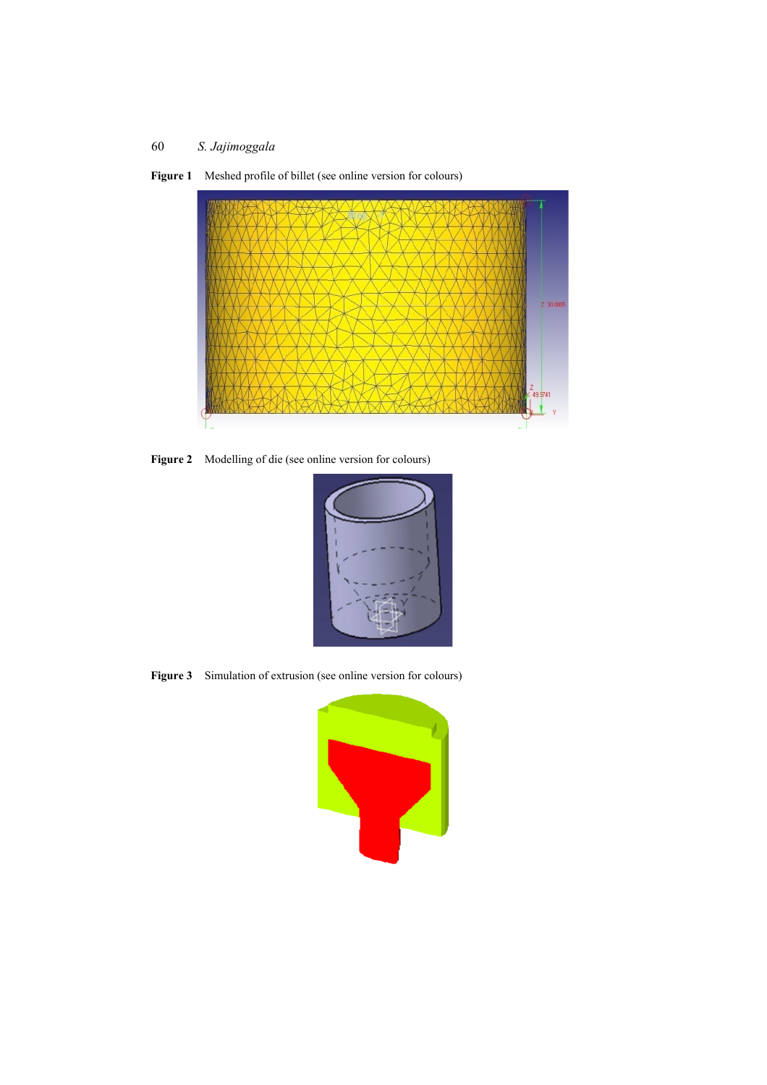

Figure 1 Meshed profile of billet (see online version for colours)

**Figure 2** Modelling of die (see online version for colours)



**Figure 3** Simulation of extrusion (see online version for colours)

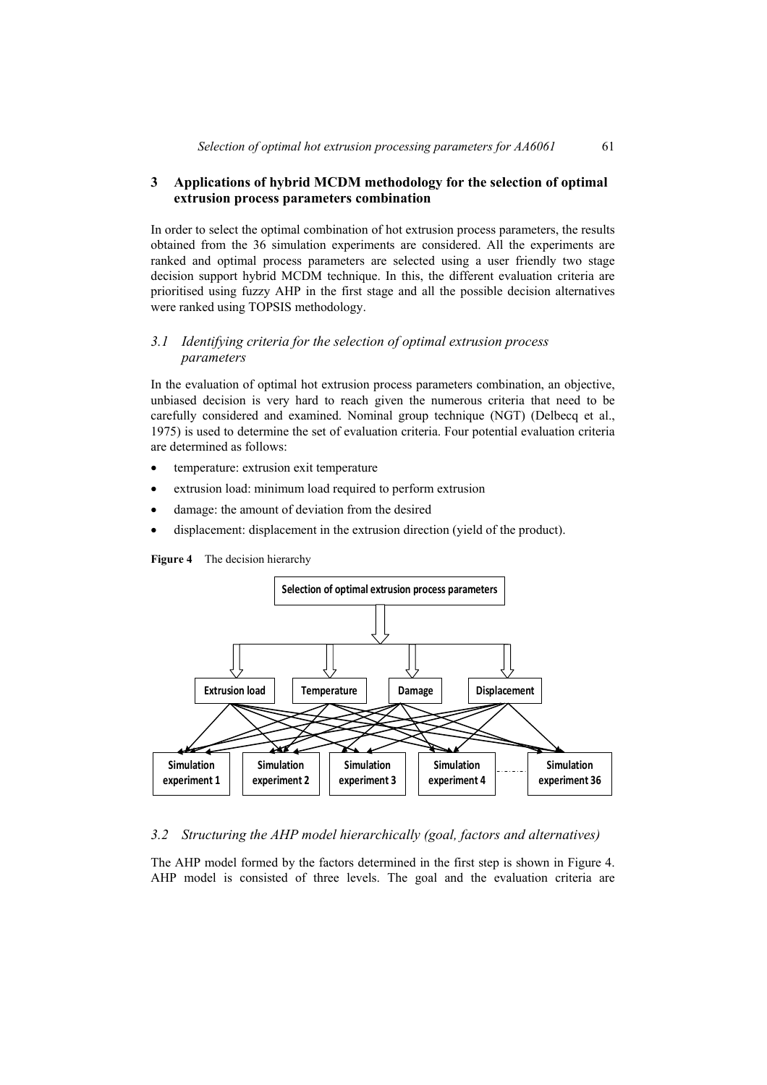### **3 Applications of hybrid MCDM methodology for the selection of optimal extrusion process parameters combination**

In order to select the optimal combination of hot extrusion process parameters, the results obtained from the 36 simulation experiments are considered. All the experiments are ranked and optimal process parameters are selected using a user friendly two stage decision support hybrid MCDM technique. In this, the different evaluation criteria are prioritised using fuzzy AHP in the first stage and all the possible decision alternatives were ranked using TOPSIS methodology.

### *3.1 Identifying criteria for the selection of optimal extrusion process parameters*

In the evaluation of optimal hot extrusion process parameters combination, an objective, unbiased decision is very hard to reach given the numerous criteria that need to be carefully considered and examined. Nominal group technique (NGT) (Delbecq et al., 1975) is used to determine the set of evaluation criteria. Four potential evaluation criteria are determined as follows:

- temperature: extrusion exit temperature
- extrusion load: minimum load required to perform extrusion
- damage: the amount of deviation from the desired
- displacement: displacement in the extrusion direction (yield of the product).





#### *3.2 Structuring the AHP model hierarchically (goal, factors and alternatives)*

The AHP model formed by the factors determined in the first step is shown in Figure 4. AHP model is consisted of three levels. The goal and the evaluation criteria are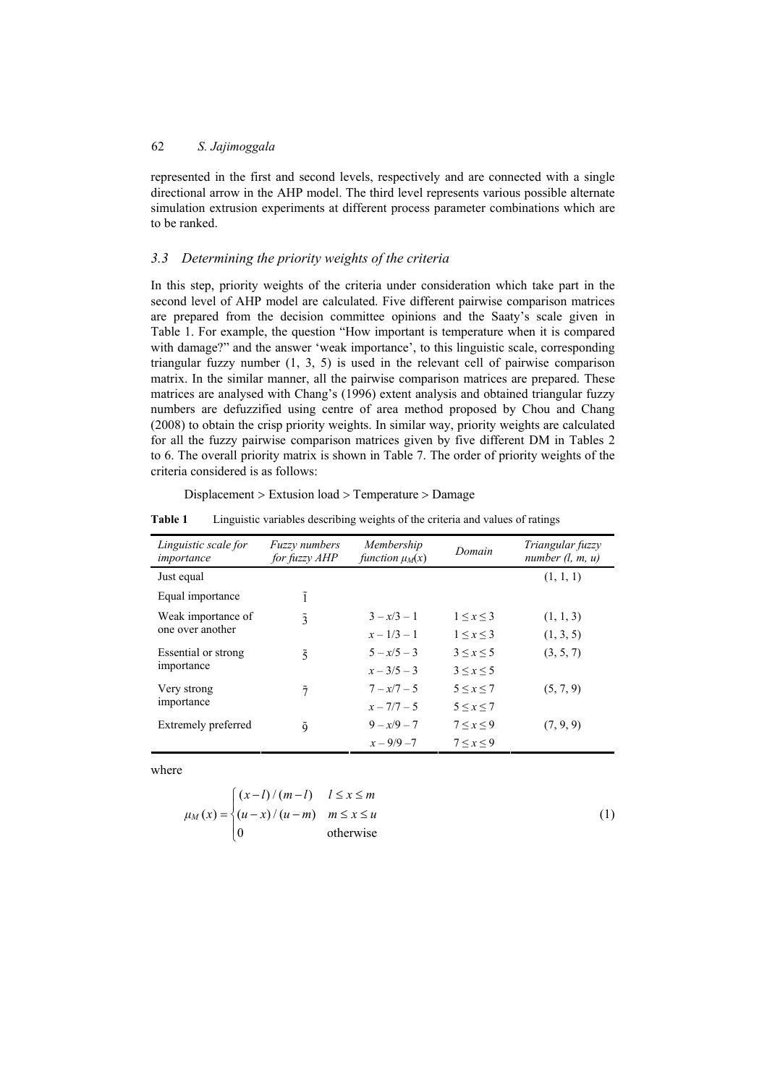represented in the first and second levels, respectively and are connected with a single directional arrow in the AHP model. The third level represents various possible alternate simulation extrusion experiments at different process parameter combinations which are to be ranked.

#### *3.3 Determining the priority weights of the criteria*

In this step, priority weights of the criteria under consideration which take part in the second level of AHP model are calculated. Five different pairwise comparison matrices are prepared from the decision committee opinions and the Saaty's scale given in Table 1. For example, the question "How important is temperature when it is compared with damage?" and the answer 'weak importance', to this linguistic scale, corresponding triangular fuzzy number (1, 3, 5) is used in the relevant cell of pairwise comparison matrix. In the similar manner, all the pairwise comparison matrices are prepared. These matrices are analysed with Chang's (1996) extent analysis and obtained triangular fuzzy numbers are defuzzified using centre of area method proposed by Chou and Chang (2008) to obtain the crisp priority weights. In similar way, priority weights are calculated for all the fuzzy pairwise comparison matrices given by five different DM in Tables 2 to 6. The overall priority matrix is shown in Table 7. The order of priority weights of the criteria considered is as follows:

| Displacement > Extusion load > Temperature > Damage |  |  |
|-----------------------------------------------------|--|--|
|-----------------------------------------------------|--|--|

**Table 1** Linguistic variables describing weights of the criteria and values of ratings

| Linguistic scale for<br>importance | Fuzzy numbers<br>for fuzzy AHP | Membership<br>function $\mu_M(x)$ | Domain            | Triangular fuzzy<br>number $(l, m, u)$ |  |
|------------------------------------|--------------------------------|-----------------------------------|-------------------|----------------------------------------|--|
| Just equal                         |                                |                                   |                   | (1, 1, 1)                              |  |
| Equal importance                   | ĩ                              |                                   |                   |                                        |  |
| Weak importance of                 | $\tilde{3}$                    | $3 - x/3 - 1$                     | $1 \leq x \leq 3$ | (1, 1, 3)                              |  |
| one over another                   |                                | $x - 1/3 - 1$                     | $1 \leq x \leq 3$ | (1, 3, 5)                              |  |
| Essential or strong                | $\tilde{5}$                    | $5 - x/5 - 3$                     | $3 \leq x \leq 5$ | (3, 5, 7)                              |  |
| importance                         |                                | $x - 3/5 - 3$                     | $3 \leq x \leq 5$ |                                        |  |
| Very strong                        | $\tilde{7}$                    | $7 - x/7 - 5$                     | $5 \le x \le 7$   | (5, 7, 9)                              |  |
| importance                         |                                | $x - 7/7 - 5$                     | $5 \le x \le 7$   |                                        |  |
| Extremely preferred                | õ                              | $9 - x/9 - 7$                     | 7 < x < 9         | (7, 9, 9)                              |  |
|                                    |                                | $x - 9/9 - 7$                     | 7 < x < 9         |                                        |  |

where

$$
\mu_M(x) = \begin{cases}\n(x-l)/(m-l) & l \le x \le m \\
(u-x)/(u-m) & m \le x \le u \\
0 & \text{otherwise}\n\end{cases}
$$
\n(1)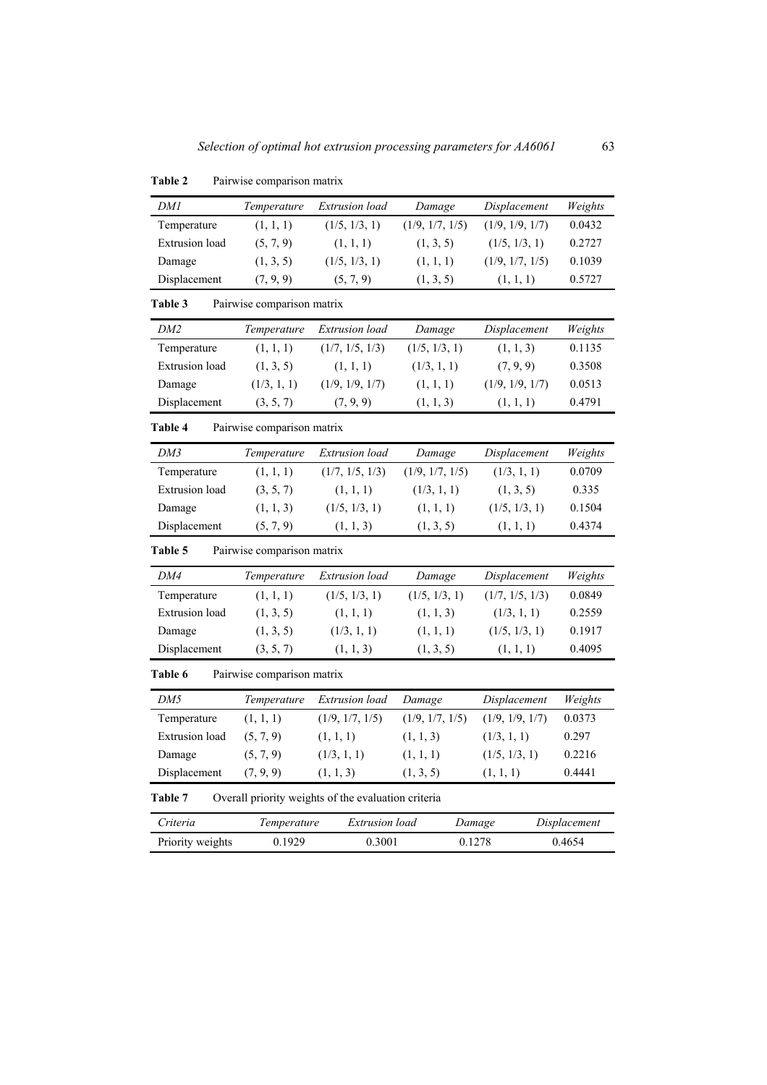| Table 2               | Pairwise comparison matrix |                                                     |                 |                 |              |
|-----------------------|----------------------------|-----------------------------------------------------|-----------------|-----------------|--------------|
| DMI                   | Temperature                | Extrusion load                                      | Damage          | Displacement    | Weights      |
| Temperature           | (1, 1, 1)                  | (1/5, 1/3, 1)                                       | (1/9, 1/7, 1/5) | (1/9, 1/9, 1/7) | 0.0432       |
| <b>Extrusion</b> load | (5, 7, 9)                  | (1, 1, 1)                                           | (1, 3, 5)       | (1/5, 1/3, 1)   | 0.2727       |
| Damage                | (1, 3, 5)                  | (1/5, 1/3, 1)                                       | (1, 1, 1)       | (1/9, 1/7, 1/5) | 0.1039       |
| Displacement          | (7, 9, 9)                  | (5, 7, 9)                                           | (1, 3, 5)       | (1, 1, 1)       | 0.5727       |
| Table 3               | Pairwise comparison matrix |                                                     |                 |                 |              |
| DM2                   | Temperature                | Extrusion load                                      | Damage          | Displacement    | Weights      |
| Temperature           | (1, 1, 1)                  | (1/7, 1/5, 1/3)                                     | (1/5, 1/3, 1)   | (1, 1, 3)       | 0.1135       |
| <b>Extrusion</b> load | (1, 3, 5)                  | (1, 1, 1)                                           | (1/3, 1, 1)     | (7, 9, 9)       | 0.3508       |
| Damage                | (1/3, 1, 1)                | (1/9, 1/9, 1/7)                                     | (1, 1, 1)       | (1/9, 1/9, 1/7) | 0.0513       |
| Displacement          | (3, 5, 7)                  | (7, 9, 9)                                           | (1, 1, 3)       | (1, 1, 1)       | 0.4791       |
| Table 4               | Pairwise comparison matrix |                                                     |                 |                 |              |
| DM3                   | Temperature                | Extrusion load                                      | Damage          | Displacement    | Weights      |
| Temperature           | (1, 1, 1)                  | (1/7, 1/5, 1/3)                                     | (1/9, 1/7, 1/5) | (1/3, 1, 1)     | 0.0709       |
| <b>Extrusion</b> load | (3, 5, 7)                  | (1, 1, 1)                                           | (1/3, 1, 1)     | (1, 3, 5)       | 0.335        |
| (1, 1, 3)<br>Damage   |                            | (1/5, 1/3, 1)<br>(1, 1, 1)                          |                 | (1/5, 1/3, 1)   | 0.1504       |
| Displacement          | (5, 7, 9)                  | (1, 1, 3)                                           | (1, 3, 5)       | (1, 1, 1)       | 0.4374       |
| Table 5               | Pairwise comparison matrix |                                                     |                 |                 |              |
| DM4                   | Temperature                | Extrusion load                                      | Damage          | Displacement    | Weights      |
| Temperature           | (1, 1, 1)                  | (1/5, 1/3, 1)                                       | (1/5, 1/3, 1)   | (1/7, 1/5, 1/3) | 0.0849       |
| <b>Extrusion</b> load | (1, 3, 5)                  | (1, 1, 1)                                           | (1, 1, 3)       | (1/3, 1, 1)     | 0.2559       |
| Damage                | (1, 3, 5)                  | (1/3, 1, 1)                                         | (1, 1, 1)       | (1/5, 1/3, 1)   | 0.1917       |
| Displacement          | (3, 5, 7)                  | (1, 1, 3)                                           | (1, 3, 5)       | (1, 1, 1)       | 0.4095       |
| Table 6               | Pairwise comparison matrix |                                                     |                 |                 |              |
| DM5                   | Temperature                | Extrusion load                                      | Damage          | Displacement    | Weights      |
| Temperature           | (1, 1, 1)                  | (1/9, 1/7, 1/5)                                     | (1/9, 1/7, 1/5) | (1/9, 1/9, 1/7) | 0.0373       |
| <b>Extrusion</b> load | (5, 7, 9)                  | (1, 1, 1)                                           | (1, 1, 3)       | (1/3, 1, 1)     | 0.297        |
| Damage                | (5, 7, 9)                  | (1/3, 1, 1)                                         | (1, 1, 1)       | (1/5, 1/3, 1)   | 0.2216       |
| Displacement          | (7, 9, 9)                  | (1, 1, 3)                                           | (1, 3, 5)       | (1, 1, 1)       | 0.4441       |
| Table 7               |                            | Overall priority weights of the evaluation criteria |                 |                 |              |
| Criteria              | Temperature                | Extrusion load                                      |                 | Damage          | Displacement |
| Priority weights      | 0.1929                     | 0.3001                                              |                 | 0.1278          | 0.4654       |

Table 2 Pairwise comparison matrix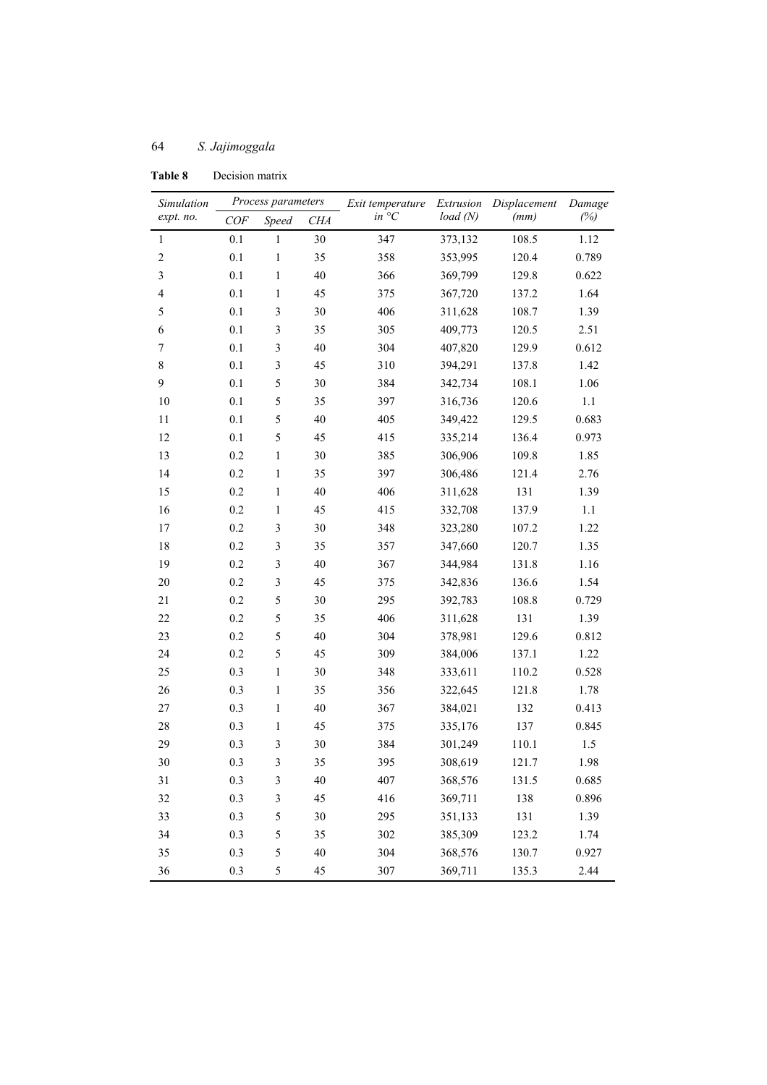| Simulation               | Process parameters |                         | Exit temperature | Extrusion        | Displacement | Damage |         |
|--------------------------|--------------------|-------------------------|------------------|------------------|--------------|--------|---------|
| expt. no.                | COF<br>Speed       |                         | <b>CHA</b>       | in ${}^{\circ}C$ | load(N)      | (mm)   | (%)     |
| $\mathbf{1}$             | 0.1                | $\mathbf{1}$            | 30               | 347              | 373,132      | 108.5  | 1.12    |
| $\overline{c}$           | 0.1                | $\mathbf{1}$            | 35               | 358              | 353,995      | 120.4  | 0.789   |
| 3                        | 0.1                | 1                       | 40               | 366              | 369,799      | 129.8  | 0.622   |
| $\overline{\mathcal{A}}$ | 0.1                | $\mathbf{1}$            | 45               | 375              | 367,720      | 137.2  | 1.64    |
| 5                        | 0.1                | $\mathfrak{Z}$          | 30               | 406              | 311,628      | 108.7  | 1.39    |
| 6                        | 0.1                | $\mathfrak{Z}$          | 35               | 305              | 409,773      | 120.5  | 2.51    |
| 7                        | 0.1                | $\mathfrak{Z}$          | 40               | 304              | 407,820      | 129.9  | 0.612   |
| $\,$ $\,$                | 0.1                | $\mathfrak{Z}$          | 45               | 310              | 394,291      | 137.8  | 1.42    |
| 9                        | 0.1                | 5                       | 30               | 384              | 342,734      | 108.1  | 1.06    |
| 10                       | 0.1                | 5                       | 35               | 397              | 316,736      | 120.6  | $1.1\,$ |
| 11                       | 0.1                | 5                       | 40               | 405              | 349,422      | 129.5  | 0.683   |
| 12                       | 0.1                | 5                       | 45               | 415              | 335,214      | 136.4  | 0.973   |
| 13                       | 0.2                | $\mathbf{1}$            | 30               | 385              | 306,906      | 109.8  | 1.85    |
| 14                       | 0.2                | $\mathbf{1}$            | 35               | 397              | 306,486      | 121.4  | 2.76    |
| 15                       | 0.2                | $\mathbf{1}$            | 40               | 406              | 311,628      | 131    | 1.39    |
| 16                       | 0.2                | $\mathbf{1}$            | 45               | 415              | 332,708      | 137.9  | 1.1     |
| 17                       | 0.2                | $\mathfrak{Z}$          | 30               | 348              | 323,280      | 107.2  | 1.22    |
| 18                       | 0.2                | $\mathfrak{Z}$          | 35               | 357              | 347,660      | 120.7  | 1.35    |
| 19                       | 0.2                | $\mathfrak{Z}$          | 40               | 367              | 344,984      | 131.8  | 1.16    |
| 20                       | 0.2                | $\mathfrak{Z}$          | 45               | 375              | 342,836      | 136.6  | 1.54    |
| 21                       | 0.2                | 5                       | 30               | 295              | 392,783      | 108.8  | 0.729   |
| 22                       | 0.2                | 5                       | 35               | 406              | 311,628      | 131    | 1.39    |
| 23                       | 0.2                | 5                       | 40               | 304              | 378,981      | 129.6  | 0.812   |
| 24                       | 0.2                | 5                       | 45               | 309              | 384,006      | 137.1  | 1.22    |
| 25                       | 0.3                | $\mathbf{1}$            | 30               | 348              | 333,611      | 110.2  | 0.528   |
| 26                       | 0.3                | $\mathbf{1}$            | 35               | 356              | 322,645      | 121.8  | 1.78    |
| 27                       | 0.3                | $\mathbf{1}$            | 40               | 367              | 384,021      | 132    | 0.413   |
| 28                       | 0.3                | $\mathbf{1}$            | 45               | 375              | 335,176      | 137    | 0.845   |
| 29                       | 0.3                | $\mathfrak{Z}$          | 30               | 384              | 301,249      | 110.1  | 1.5     |
| 30                       | 0.3                | $\overline{\mathbf{3}}$ | 35               | 395              | 308,619      | 121.7  | 1.98    |
| 31                       | 0.3                | $\mathfrak{Z}$          | 40               | 407              | 368,576      | 131.5  | 0.685   |
| 32                       | 0.3                | $\mathfrak{Z}$          | 45               | 416              | 369,711      | 138    | 0.896   |
| 33                       | 0.3                | 5                       | 30               | 295              | 351,133      | 131    | 1.39    |
| 34                       | 0.3                | 5                       | 35               | 302              | 385,309      | 123.2  | 1.74    |
| 35                       | 0.3                | 5                       | 40               | 304              | 368,576      | 130.7  | 0.927   |
| 36                       | $0.3\,$            | 5                       | 45               | 307              | 369,711      | 135.3  | 2.44    |

**Table 8** Decision matrix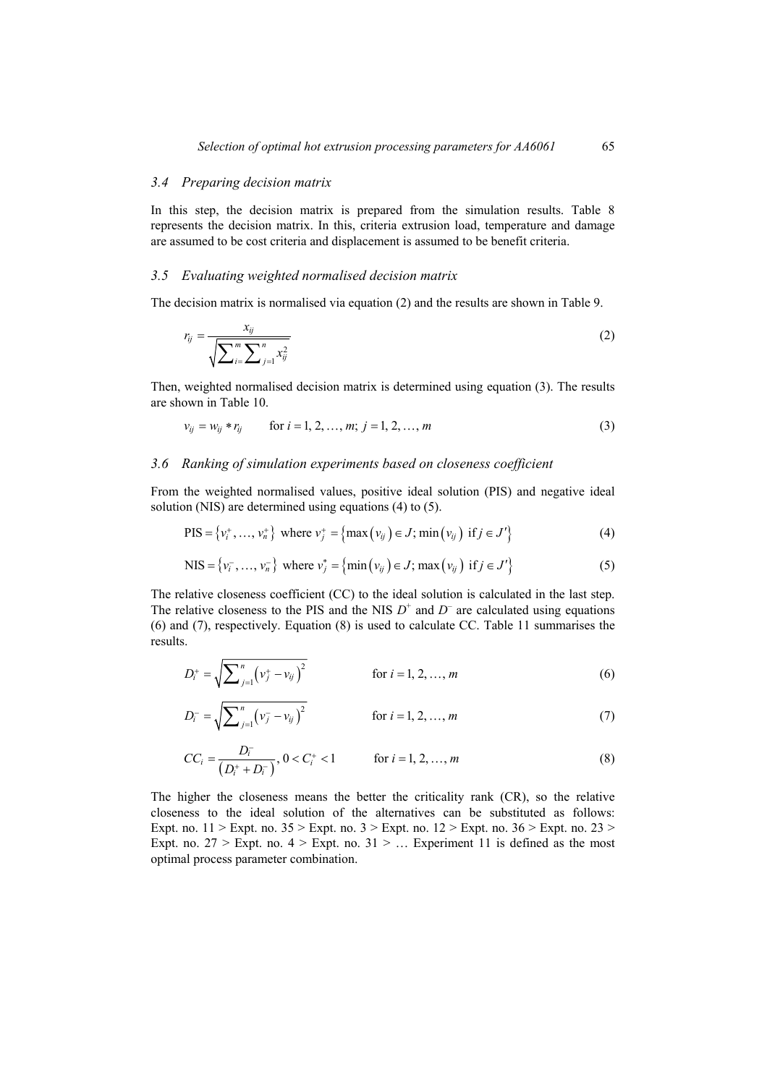#### *3.4 Preparing decision matrix*

In this step, the decision matrix is prepared from the simulation results. Table 8 represents the decision matrix. In this, criteria extrusion load, temperature and damage are assumed to be cost criteria and displacement is assumed to be benefit criteria.

#### *3.5 Evaluating weighted normalised decision matrix*

The decision matrix is normalised via equation (2) and the results are shown in Table 9.

$$
r_{ij} = \frac{x_{ij}}{\sqrt{\sum_{i=1}^{m} \sum_{j=1}^{n} x_{ij}^2}}
$$
 (2)

Then, weighted normalised decision matrix is determined using equation (3). The results are shown in Table 10.

$$
v_{ij} = w_{ij} * r_{ij} \qquad \text{for } i = 1, 2, ..., m; \ j = 1, 2, ..., m \tag{3}
$$

#### *3.6 Ranking of simulation experiments based on closeness coefficient*

From the weighted normalised values, positive ideal solution (PIS) and negative ideal solution (NIS) are determined using equations (4) to (5).

$$
\text{PIS} = \{v_i^+, \dots, v_n^+\} \text{ where } v_j^+ = \{\max(v_{ij}) \in J; \min(v_{ij}) \text{ if } j \in J'\}\
$$
 (4)

NIS = {
$$
v_i^-
$$
,...,  $v_n^-$ } where  $v_j^* = \{min(v_{ij}) \in J; max(v_{ij}) \text{ if } j \in J'\}$  (5)

The relative closeness coefficient (CC) to the ideal solution is calculated in the last step. The relative closeness to the PIS and the NIS  $D^+$  and  $D^-$  are calculated using equations (6) and (7), respectively. Equation (8) is used to calculate CC. Table 11 summarises the results.

$$
D_i^+ = \sqrt{\sum_{j=1}^n (v_j^+ - v_{ij})^2}
$$
 for  $i = 1, 2, ..., m$  (6)

$$
D_i^- = \sqrt{\sum_{j=1}^n (v_j^- - v_{ij})^2}
$$
 for  $i = 1, 2, ..., m$  (7)

$$
CC_i = \frac{D_i^-}{(D_i^+ + D_i^-)}, 0 < C_i^+ < 1 \qquad \text{for } i = 1, 2, ..., m
$$
 (8)

The higher the closeness means the better the criticality rank (CR), so the relative closeness to the ideal solution of the alternatives can be substituted as follows: Expt. no.  $11 >$  Expt. no.  $35 >$  Expt. no.  $3 >$  Expt. no.  $12 >$  Expt. no.  $36 >$  Expt. no.  $23 >$ Expt. no.  $27 >$  Expt. no.  $4 >$  Expt. no.  $31 > ...$  Experiment 11 is defined as the most optimal process parameter combination.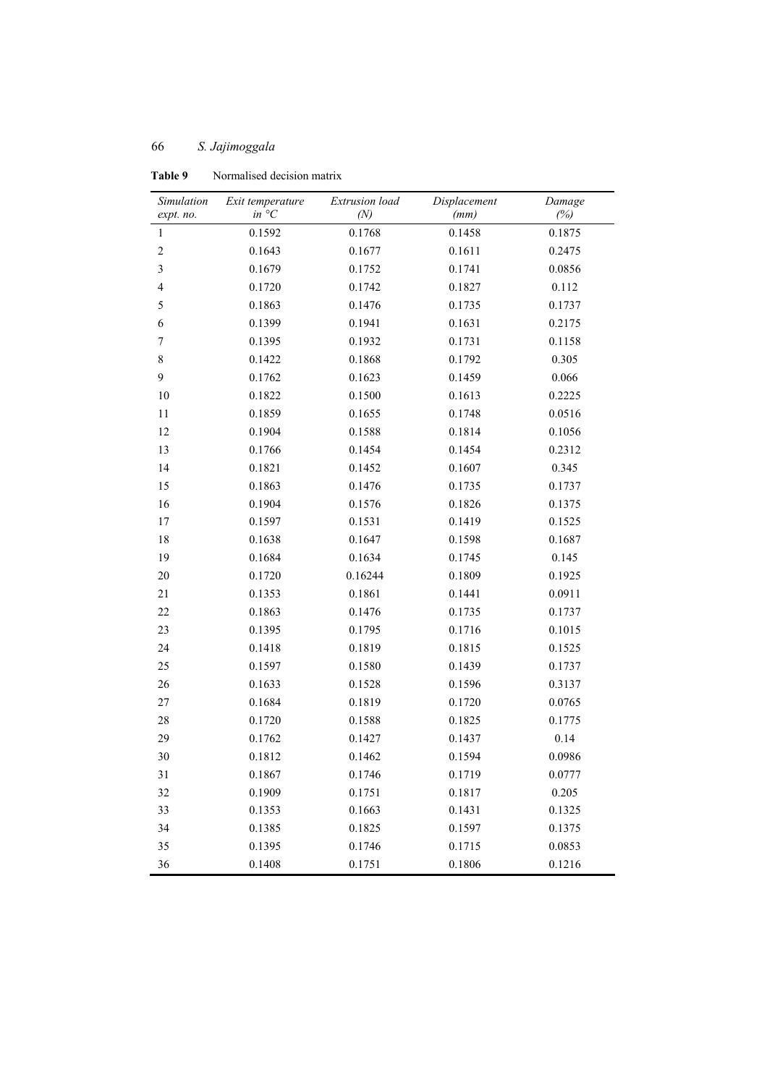| Simulation       | Exit temperature | Extrusion load | Displacement | Damage |
|------------------|------------------|----------------|--------------|--------|
| expt. no.        | $in \ ^{\circ}C$ | (N)            | (mm)         | (%)    |
| $\mathbf{1}$     | 0.1592           | 0.1768         | 0.1458       | 0.1875 |
| $\overline{c}$   | 0.1643           | 0.1677         | 0.1611       | 0.2475 |
| 3                | 0.1679           | 0.1752         | 0.1741       | 0.0856 |
| $\overline{4}$   | 0.1720           | 0.1742         | 0.1827       | 0.112  |
| 5                | 0.1863           | 0.1476         | 0.1735       | 0.1737 |
| 6                | 0.1399           | 0.1941         | 0.1631       | 0.2175 |
| $\boldsymbol{7}$ | 0.1395           | 0.1932         | 0.1731       | 0.1158 |
| 8                | 0.1422           | 0.1868         | 0.1792       | 0.305  |
| 9                | 0.1762           | 0.1623         | 0.1459       | 0.066  |
| 10               | 0.1822           | 0.1500         | 0.1613       | 0.2225 |
| 11               | 0.1859           | 0.1655         | 0.1748       | 0.0516 |
| 12               | 0.1904           | 0.1588         | 0.1814       | 0.1056 |
| 13               | 0.1766           | 0.1454         | 0.1454       | 0.2312 |
| 14               | 0.1821           | 0.1452         | 0.1607       | 0.345  |
| 15               | 0.1863           | 0.1476         | 0.1735       | 0.1737 |
| 16               | 0.1904           | 0.1576         | 0.1826       | 0.1375 |
| 17               | 0.1597           | 0.1531         | 0.1419       | 0.1525 |
| 18               | 0.1638           | 0.1647         | 0.1598       | 0.1687 |
| 19               | 0.1684           | 0.1634         | 0.1745       | 0.145  |
| 20               | 0.1720           | 0.16244        | 0.1809       | 0.1925 |
| 21               | 0.1353           | 0.1861         | 0.1441       | 0.0911 |
| 22               | 0.1863           | 0.1476         | 0.1735       | 0.1737 |
| 23               | 0.1395           | 0.1795         | 0.1716       | 0.1015 |
| 24               | 0.1418           | 0.1819         | 0.1815       | 0.1525 |
| 25               | 0.1597           | 0.1580         | 0.1439       | 0.1737 |
| 26               | 0.1633           | 0.1528         | 0.1596       | 0.3137 |
| 27               | 0.1684           | 0.1819         | 0.1720       | 0.0765 |
| 28               | 0.1720           | 0.1588         | 0.1825       | 0.1775 |
| 29               | 0.1762           | 0.1427         | 0.1437       | 0.14   |
| 30               | 0.1812           | 0.1462         | 0.1594       | 0.0986 |
| 31               | 0.1867           | 0.1746         | 0.1719       | 0.0777 |
| 32               | 0.1909           | 0.1751         | 0.1817       | 0.205  |
| 33               | 0.1353           | 0.1663         | 0.1431       | 0.1325 |
| 34               | 0.1385           | 0.1825         | 0.1597       | 0.1375 |
| 35               | 0.1395           | 0.1746         | 0.1715       | 0.0853 |
| 36               | 0.1408           | 0.1751         | 0.1806       | 0.1216 |

**Table 9** Normalised decision matrix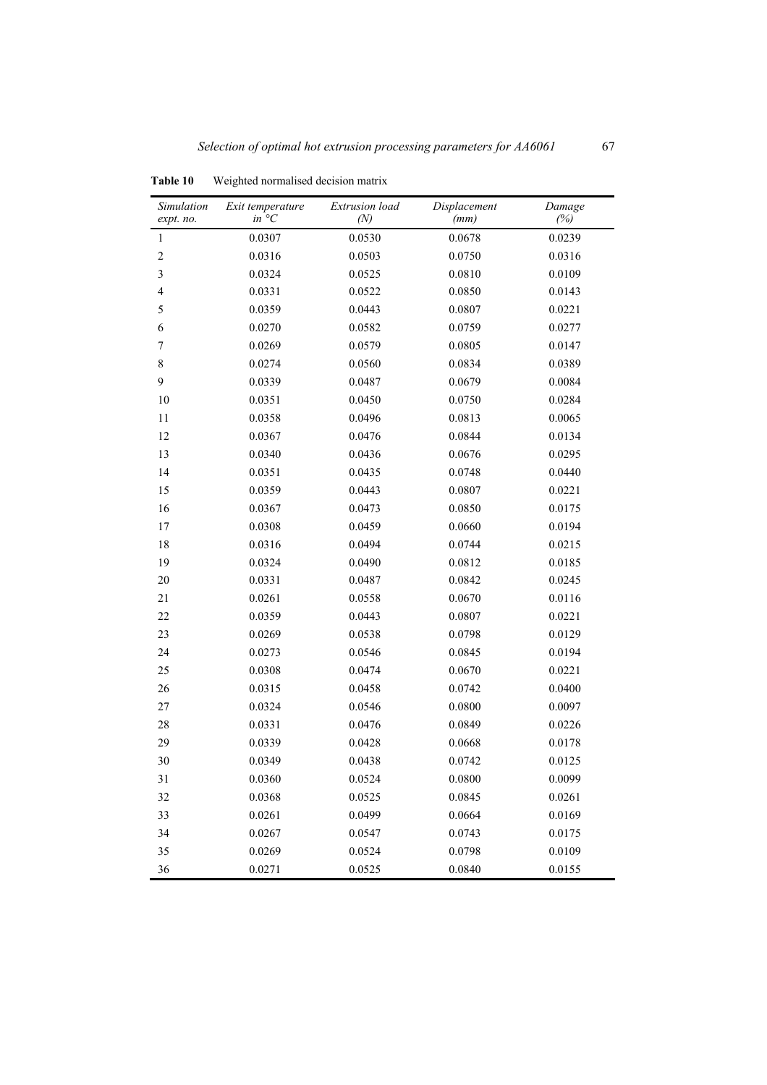| Simulation<br>expt. no. | Exit temperature<br>$in^{\circ}C$ | Extrusion load<br>(N) | Displacement<br>(mm) | Damage<br>(%) |
|-------------------------|-----------------------------------|-----------------------|----------------------|---------------|
| $\mathbf{1}$            | 0.0307                            | 0.0530                | 0.0678               | 0.0239        |
| $\overline{c}$          | 0.0316                            | 0.0503                | 0.0750               | 0.0316        |
| 3                       | 0.0324                            | 0.0525                | 0.0810               | 0.0109        |
| $\overline{4}$          | 0.0331                            | 0.0522                | 0.0850               | 0.0143        |
| 5                       | 0.0359                            | 0.0443                | 0.0807               | 0.0221        |
| 6                       | 0.0270                            | 0.0582                | 0.0759               | 0.0277        |
| $\boldsymbol{7}$        | 0.0269                            | 0.0579                | 0.0805               | 0.0147        |
| 8                       | 0.0274                            | 0.0560                | 0.0834               | 0.0389        |
| 9                       | 0.0339                            | 0.0487                | 0.0679               | 0.0084        |
| 10                      | 0.0351                            | 0.0450                | 0.0750               | 0.0284        |
| 11                      | 0.0358                            | 0.0496                | 0.0813               | 0.0065        |
| 12                      | 0.0367                            | 0.0476                | 0.0844               | 0.0134        |
| 13                      | 0.0340                            | 0.0436                | 0.0676               | 0.0295        |
| 14                      | 0.0351                            | 0.0435                | 0.0748               | 0.0440        |
| 15                      | 0.0359                            | 0.0443                | 0.0807               | 0.0221        |
| 16                      | 0.0367                            | 0.0473                | 0.0850               | 0.0175        |
| 17                      | 0.0308                            | 0.0459                | 0.0660               | 0.0194        |
| 18                      | 0.0316                            | 0.0494                | 0.0744               | 0.0215        |
| 19                      | 0.0324                            | 0.0490                | 0.0812               | 0.0185        |
| 20                      | 0.0331                            | 0.0487                | 0.0842               | 0.0245        |
| 21                      | 0.0261                            | 0.0558                | 0.0670               | 0.0116        |
| 22                      | 0.0359                            | 0.0443                | 0.0807               | 0.0221        |
| 23                      | 0.0269                            | 0.0538                | 0.0798               | 0.0129        |
| 24                      | 0.0273                            | 0.0546                | 0.0845               | 0.0194        |
| 25                      | 0.0308                            | 0.0474                | 0.0670               | 0.0221        |
| 26                      | 0.0315                            | 0.0458                | 0.0742               | 0.0400        |
| 27                      | 0.0324                            | 0.0546                | 0.0800               | 0.0097        |
| 28                      | 0.0331                            | 0.0476                | 0.0849               | 0.0226        |
| 29                      | 0.0339                            | 0.0428                | 0.0668               | 0.0178        |
| 30                      | 0.0349                            | 0.0438                | 0.0742               | 0.0125        |
| 31                      | 0.0360                            | 0.0524                | 0.0800               | 0.0099        |
| 32                      | 0.0368                            | 0.0525                | 0.0845               | 0.0261        |
| 33                      | 0.0261                            | 0.0499                | 0.0664               | 0.0169        |
| 34                      | 0.0267                            | 0.0547                | 0.0743               | 0.0175        |
| 35                      | 0.0269                            | 0.0524                | 0.0798               | 0.0109        |
| 36                      | 0.0271                            | 0.0525                | 0.0840               | 0.0155        |

**Table 10** Weighted normalised decision matrix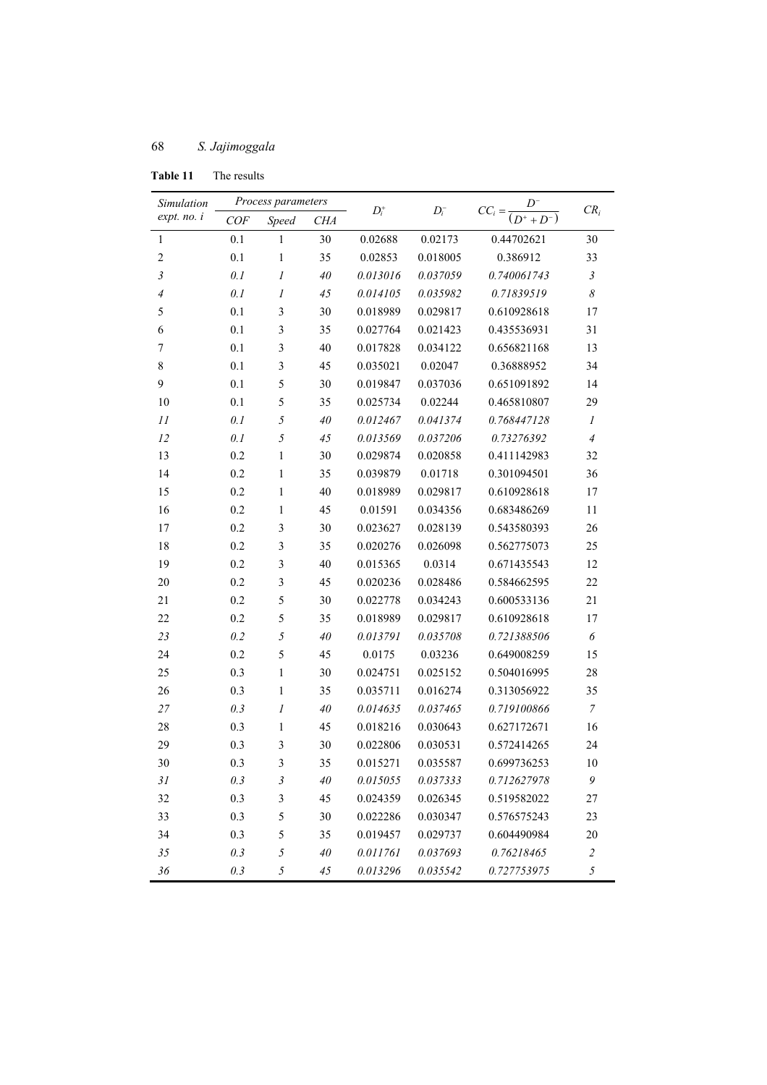| Simulation       | Process parameters |                         |            |          |          |                                        |                       |
|------------------|--------------------|-------------------------|------------|----------|----------|----------------------------------------|-----------------------|
| expt. no. i      | COF                | Speed                   | <b>CHA</b> | $D_i^+$  | $D_i^-$  | $CC_i = \frac{D^{-}}{(D^{+} + D^{-})}$ | $CR_i$                |
| $\mathbf{1}$     | 0.1                | 1                       | 30         | 0.02688  | 0.02173  | 0.44702621                             | 30                    |
| $\overline{c}$   | 0.1                | $\mathbf{1}$            | 35         | 0.02853  | 0.018005 | 0.386912                               | 33                    |
| $\mathfrak{Z}$   | 0.1                | 1                       | $40\,$     | 0.013016 | 0.037059 | 0.740061743                            | $\mathfrak{Z}$        |
| $\overline{4}$   | 0.1                | $\boldsymbol{l}$        | 45         | 0.014105 | 0.035982 | 0.71839519                             | $\boldsymbol{\delta}$ |
| 5                | 0.1                | 3                       | 30         | 0.018989 | 0.029817 | 0.610928618                            | 17                    |
| 6                | 0.1                | 3                       | 35         | 0.027764 | 0.021423 | 0.435536931                            | 31                    |
| $\boldsymbol{7}$ | 0.1                | 3                       | 40         | 0.017828 | 0.034122 | 0.656821168                            | 13                    |
| 8                | 0.1                | $\overline{\mathbf{3}}$ | 45         | 0.035021 | 0.02047  | 0.36888952                             | 34                    |
| 9                | 0.1                | 5                       | 30         | 0.019847 | 0.037036 | 0.651091892                            | 14                    |
| 10               | 0.1                | 5                       | 35         | 0.025734 | 0.02244  | 0.465810807                            | 29                    |
| 11               | 0.1                | 5                       | 40         | 0.012467 | 0.041374 | 0.768447128                            | $\mathfrak{1}$        |
| 12               | 0.1                | 5                       | 45         | 0.013569 | 0.037206 | 0.73276392                             | $\overline{4}$        |
| 13               | 0.2                | 1                       | 30         | 0.029874 | 0.020858 | 0.411142983                            | 32                    |
| 14               | 0.2                | $\mathbf{1}$            | 35         | 0.039879 | 0.01718  | 0.301094501                            | 36                    |
| 15               | 0.2                | 1                       | 40         | 0.018989 | 0.029817 | 0.610928618                            | 17                    |
| 16               | 0.2                | $\mathbf{1}$            | 45         | 0.01591  | 0.034356 | 0.683486269                            | 11                    |
| 17               | 0.2                | 3                       | 30         | 0.023627 | 0.028139 | 0.543580393                            | 26                    |
| 18               | 0.2                | 3                       | 35         | 0.020276 | 0.026098 | 0.562775073                            | 25                    |
| 19               | 0.2                | 3                       | 40         | 0.015365 | 0.0314   | 0.671435543                            | 12                    |
| 20               | 0.2                | 3                       | 45         | 0.020236 | 0.028486 | 0.584662595                            | 22                    |
| 21               | 0.2                | 5                       | 30         | 0.022778 | 0.034243 | 0.600533136                            | 21                    |
| 22               | 0.2                | 5                       | 35         | 0.018989 | 0.029817 | 0.610928618                            | 17                    |
| 23               | 0.2                | 5                       | 40         | 0.013791 | 0.035708 | 0.721388506                            | 6                     |
| 24               | 0.2                | 5                       | 45         | 0.0175   | 0.03236  | 0.649008259                            | 15                    |
| 25               | 0.3                | $\mathbf{1}$            | 30         | 0.024751 | 0.025152 | 0.504016995                            | 28                    |
| 26               | 0.3                | $\mathbf{1}$            | 35         | 0.035711 | 0.016274 | 0.313056922                            | 35                    |
| $27\,$           | 0.3                | 1                       | 40         | 0.014635 | 0.037465 | 0.719100866                            | $\boldsymbol{7}$      |
| 28               | 0.3                | $\mathbf{1}$            | 45         | 0.018216 | 0.030643 | 0.627172671                            | 16                    |
| 29               | 0.3                | 3                       | 30         | 0.022806 | 0.030531 | 0.572414265                            | 24                    |
| 30               | 0.3                | 3                       | 35         | 0.015271 | 0.035587 | 0.699736253                            | 10                    |
| 31               | 0.3                | 3                       | 40         | 0.015055 | 0.037333 | 0.712627978                            | 9                     |
| 32               | 0.3                | 3                       | 45         | 0.024359 | 0.026345 | 0.519582022                            | 27                    |
| 33               | 0.3                | 5                       | 30         | 0.022286 | 0.030347 | 0.576575243                            | 23                    |
| 34               | 0.3                | 5                       | 35         | 0.019457 | 0.029737 | 0.604490984                            | 20                    |
| 35               | 0.3                | 5                       | 40         | 0.011761 | 0.037693 | 0.76218465                             | $\overline{c}$        |
| 36               | 0.3                | 5                       | 45         | 0.013296 | 0.035542 | 0.727753975                            | 5                     |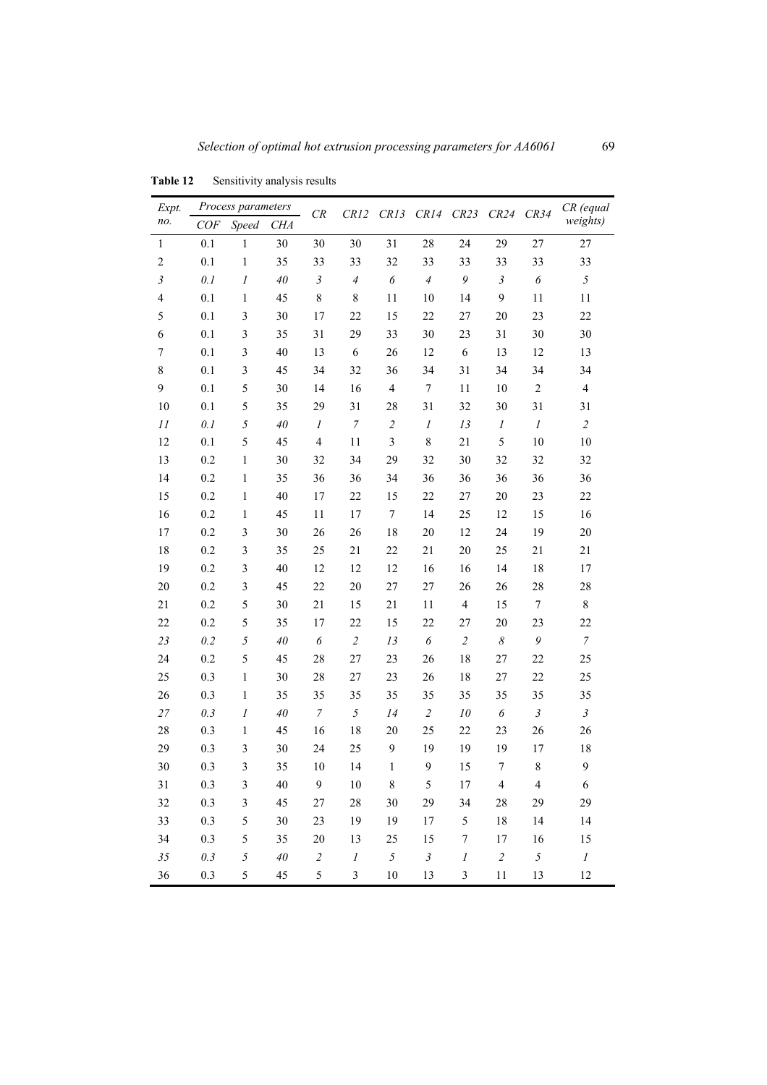| Expt.          | Process parameters |                         |            |                       | ${\cal CR}$<br>CR13<br>CR12 |                  | CR14 CR23        |                  | CR24<br>CR34          |                  | CR (equal                |
|----------------|--------------------|-------------------------|------------|-----------------------|-----------------------------|------------------|------------------|------------------|-----------------------|------------------|--------------------------|
| no.            | COF                | <b>Speed</b>            | <b>CHA</b> |                       |                             |                  |                  |                  |                       |                  | weights)                 |
| $\mathbf{1}$   | 0.1                | $\mathbf{1}$            | 30         | 30                    | 30                          | 31               | 28               | 24               | 29                    | 27               | 27                       |
| $\overline{c}$ | 0.1                | 1                       | 35         | 33                    | 33                          | 32               | 33               | 33               | 33                    | 33               | 33                       |
| $\mathfrak{Z}$ | 0.1                | 1                       | $40\,$     | $\mathfrak{Z}$        | $\overline{A}$              | 6                | $\overline{4}$   | 9                | $\mathfrak{Z}$        | 6                | $\sqrt{2}$               |
| 4              | 0.1                | $\mathbf{1}$            | 45         | $\,8\,$               | 8                           | 11               | 10               | 14               | 9                     | 11               | 11                       |
| 5              | 0.1                | 3                       | 30         | 17                    | 22                          | 15               | 22               | 27               | 20                    | 23               | 22                       |
| 6              | 0.1                | $\mathfrak{Z}$          | 35         | 31                    | 29                          | 33               | 30               | 23               | 31                    | 30               | 30                       |
| 7              | 0.1                | $\mathfrak{Z}$          | 40         | 13                    | $\epsilon$                  | 26               | 12               | 6                | 13                    | 12               | 13                       |
| 8              | 0.1                | $\mathfrak{Z}$          | 45         | 34                    | 32                          | 36               | 34               | 31               | 34                    | 34               | 34                       |
| 9              | 0.1                | 5                       | 30         | 14                    | 16                          | $\overline{4}$   | $\tau$           | 11               | 10                    | $\overline{c}$   | $\overline{\mathcal{A}}$ |
| 10             | 0.1                | 5                       | 35         | 29                    | 31                          | 28               | 31               | 32               | 30                    | 31               | 31                       |
| 11             | 0.1                | 5                       | 40         | $\boldsymbol{l}$      | $\boldsymbol{7}$            | $\sqrt{2}$       | $\boldsymbol{l}$ | 13               | $\boldsymbol{l}$      | $\cal I$         | $\sqrt{2}$               |
| 12             | 0.1                | 5                       | 45         | $\overline{4}$        | 11                          | 3                | $\,$ $\,$        | 21               | 5                     | $10\,$           | $10\,$                   |
| 13             | 0.2                | $\mathbf{1}$            | 30         | 32                    | 34                          | 29               | 32               | 30               | 32                    | 32               | 32                       |
| 14             | 0.2                | $\mathbf{1}$            | 35         | 36                    | 36                          | 34               | 36               | 36               | 36                    | 36               | 36                       |
| 15             | 0.2                | $\mathbf{1}$            | 40         | 17                    | 22                          | 15               | 22               | 27               | 20                    | 23               | 22                       |
| 16             | 0.2                | $\mathbf{1}$            | 45         | 11                    | 17                          | $\boldsymbol{7}$ | 14               | 25               | 12                    | 15               | 16                       |
| 17             | 0.2                | $\mathfrak{Z}$          | 30         | 26                    | 26                          | 18               | 20               | 12               | 24                    | 19               | 20                       |
| 18             | 0.2                | $\mathfrak{Z}$          | 35         | 25                    | 21                          | 22               | 21               | 20               | 25                    | 21               | 21                       |
| 19             | 0.2                | $\mathfrak{Z}$          | 40         | 12                    | 12                          | 12               | 16               | 16               | 14                    | 18               | 17                       |
| 20             | 0.2                | $\mathfrak{Z}$          | 45         | 22                    | 20                          | 27               | 27               | 26               | 26                    | 28               | 28                       |
| 21             | 0.2                | 5                       | 30         | 21                    | 15                          | 21               | 11               | $\overline{4}$   | 15                    | $\boldsymbol{7}$ | $\,$ 8 $\,$              |
| 22             | 0.2                | 5                       | 35         | 17                    | 22                          | 15               | 22               | 27               | 20                    | 23               | 22                       |
| 23             | 0.2                | 5                       | $40\,$     | $\boldsymbol{\delta}$ | $\overline{c}$              | 13               | 6                | $\sqrt{2}$       | $\boldsymbol{\delta}$ | 9                | $\overline{7}$           |
| 24             | 0.2                | 5                       | 45         | 28                    | 27                          | 23               | 26               | 18               | 27                    | 22               | 25                       |
| 25             | 0.3                | $\mathbf{1}$            | 30         | 28                    | 27                          | 23               | 26               | 18               | 27                    | 22               | 25                       |
| 26             | 0.3                | $\mathbf{1}$            | 35         | 35                    | 35                          | 35               | 35               | 35               | 35                    | 35               | 35                       |
| 27             | 0.3                | $\boldsymbol{l}$        | $40\,$     | $\boldsymbol{7}$      | 5                           | 14               | $\sqrt{2}$       | 10               | 6                     | $\mathfrak{Z}$   | $\mathfrak{Z}$           |
| 28             | 0.3                | $\mathbf{1}$            | 45         | 16                    | 18                          | 20               | 25               | 22               | 23                    | 26               | 26                       |
| 29             | 0.3                | $\mathfrak{Z}$          | 30         | 24                    | 25                          | 9                | 19               | 19               | 19                    | 17               | 18                       |
| 30             | 0.3                | $\overline{\mathbf{3}}$ | 35         | 10                    | 14                          | $\mathbf{1}$     | 9                | 15               | 7                     | 8                | 9                        |
| 31             | 0.3                | $\mathfrak{Z}$          | 40         | 9                     | 10                          | $\,$ 8 $\,$      | 5                | 17               | $\overline{4}$        | $\overline{4}$   | $\sqrt{6}$               |
| 32             | 0.3                | $\mathfrak{Z}$          | 45         | 27                    | 28                          | 30               | 29               | 34               | 28                    | 29               | 29                       |
| 33             | 0.3                | 5                       | 30         | 23                    | 19                          | 19               | 17               | 5                | 18                    | 14               | 14                       |
| 34             | 0.3                | 5                       | 35         | 20                    | 13                          | 25               | 15               | $\boldsymbol{7}$ | 17                    | 16               | 15                       |
| 35             | 0.3                | $\sqrt{2}$              | $40\,$     | $\sqrt{2}$            | $\cal I$                    | $\sqrt{2}$       | $\mathfrak{Z}$   | $\cal I$         | $\sqrt{2}$            | 5                | $\cal I$                 |
| 36             | 0.3                | 5                       | 45         | 5                     | $\mathfrak{Z}$              | $10\,$           | 13               | $\mathfrak{Z}$   | 11                    | 13               | 12                       |

**Table 12** Sensitivity analysis results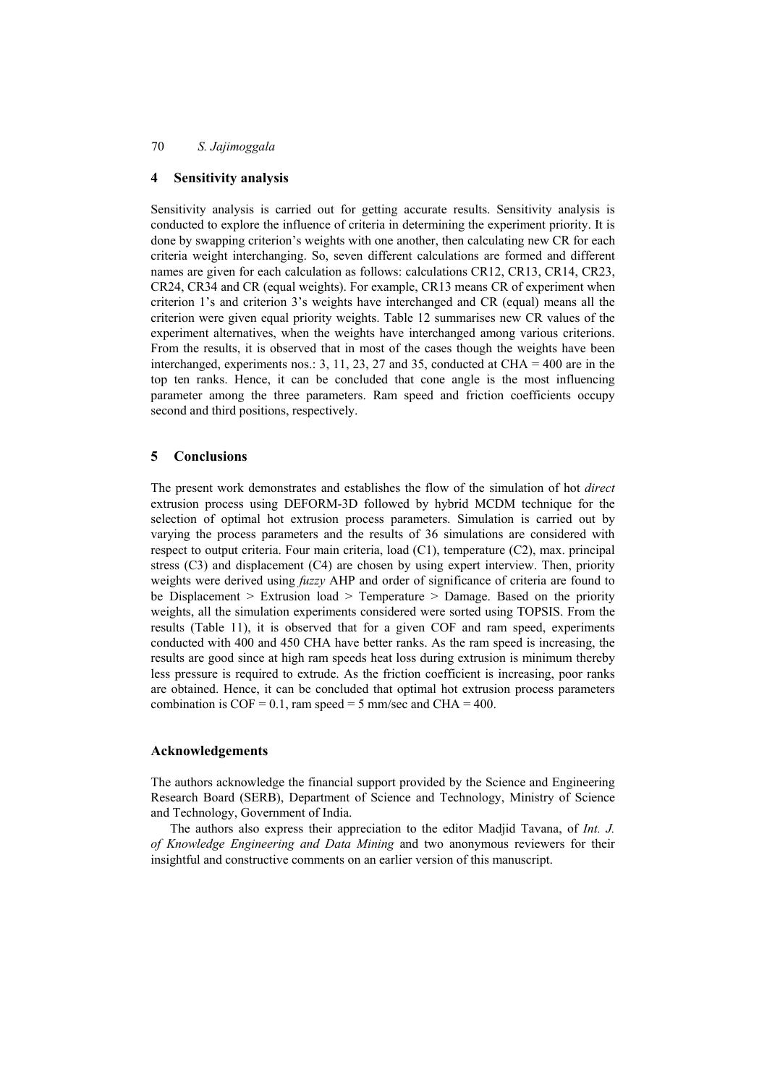#### **4 Sensitivity analysis**

Sensitivity analysis is carried out for getting accurate results. Sensitivity analysis is conducted to explore the influence of criteria in determining the experiment priority. It is done by swapping criterion's weights with one another, then calculating new CR for each criteria weight interchanging. So, seven different calculations are formed and different names are given for each calculation as follows: calculations CR12, CR13, CR14, CR23, CR24, CR34 and CR (equal weights). For example, CR13 means CR of experiment when criterion 1's and criterion 3's weights have interchanged and CR (equal) means all the criterion were given equal priority weights. Table 12 summarises new CR values of the experiment alternatives, when the weights have interchanged among various criterions. From the results, it is observed that in most of the cases though the weights have been interchanged, experiments nos.: 3, 11, 23, 27 and 35, conducted at CHA =  $400$  are in the top ten ranks. Hence, it can be concluded that cone angle is the most influencing parameter among the three parameters. Ram speed and friction coefficients occupy second and third positions, respectively.

#### **5 Conclusions**

The present work demonstrates and establishes the flow of the simulation of hot *direct* extrusion process using DEFORM-3D followed by hybrid MCDM technique for the selection of optimal hot extrusion process parameters. Simulation is carried out by varying the process parameters and the results of 36 simulations are considered with respect to output criteria. Four main criteria, load (C1), temperature (C2), max. principal stress (C3) and displacement (C4) are chosen by using expert interview. Then, priority weights were derived using *fuzzy* AHP and order of significance of criteria are found to be Displacement > Extrusion load > Temperature > Damage. Based on the priority weights, all the simulation experiments considered were sorted using TOPSIS. From the results (Table 11), it is observed that for a given COF and ram speed, experiments conducted with 400 and 450 CHA have better ranks. As the ram speed is increasing, the results are good since at high ram speeds heat loss during extrusion is minimum thereby less pressure is required to extrude. As the friction coefficient is increasing, poor ranks are obtained. Hence, it can be concluded that optimal hot extrusion process parameters combination is  $COF = 0.1$ , ram speed = 5 mm/sec and CHA = 400.

#### **Acknowledgements**

The authors acknowledge the financial support provided by the Science and Engineering Research Board (SERB), Department of Science and Technology, Ministry of Science and Technology, Government of India.

The authors also express their appreciation to the editor Madjid Tavana, of *Int. J. of Knowledge Engineering and Data Mining* and two anonymous reviewers for their insightful and constructive comments on an earlier version of this manuscript.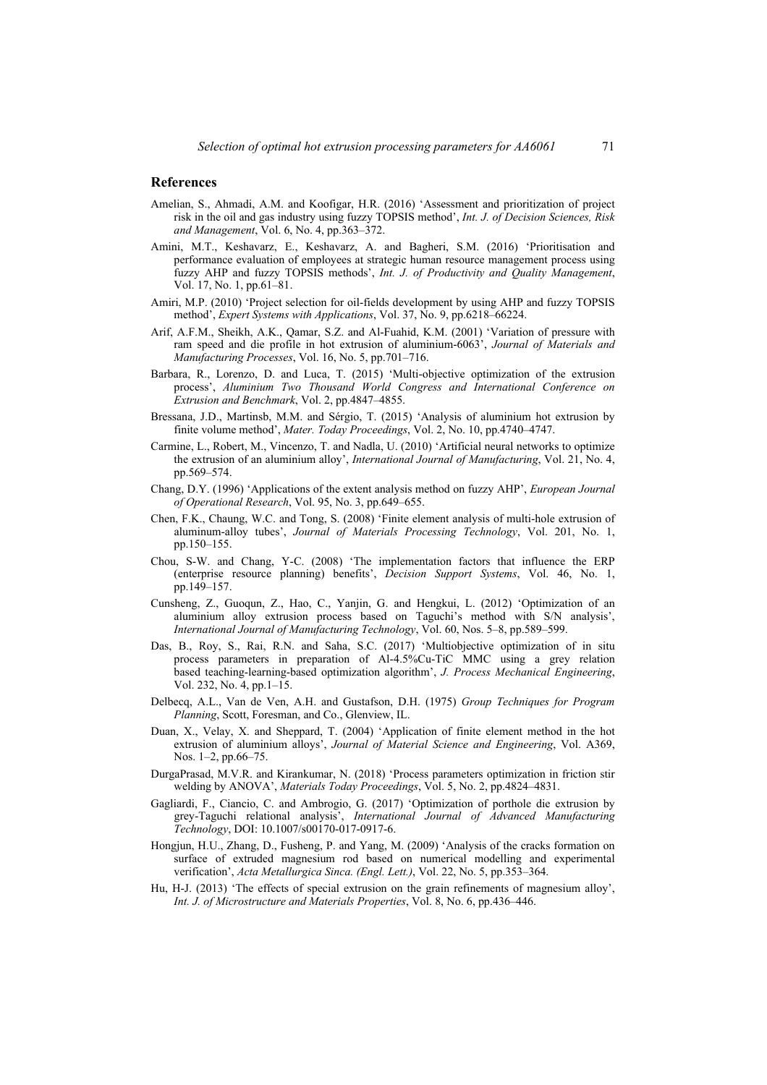#### **References**

- Amelian, S., Ahmadi, A.M. and Koofigar, H.R. (2016) 'Assessment and prioritization of project risk in the oil and gas industry using fuzzy TOPSIS method', *Int. J. of Decision Sciences, Risk and Management*, Vol. 6, No. 4, pp.363–372.
- Amini, M.T., Keshavarz, E., Keshavarz, A. and Bagheri, S.M. (2016) 'Prioritisation and performance evaluation of employees at strategic human resource management process using fuzzy AHP and fuzzy TOPSIS methods', *Int. J. of Productivity and Quality Management*, Vol. 17, No. 1, pp.61–81.
- Amiri, M.P. (2010) 'Project selection for oil-fields development by using AHP and fuzzy TOPSIS method', *Expert Systems with Applications*, Vol. 37, No. 9, pp.6218–66224.
- Arif, A.F.M., Sheikh, A.K., Qamar, S.Z. and Al-Fuahid, K.M. (2001) 'Variation of pressure with ram speed and die profile in hot extrusion of aluminium-6063', *Journal of Materials and Manufacturing Processes*, Vol. 16, No. 5, pp.701–716.
- Barbara, R., Lorenzo, D. and Luca, T. (2015) 'Multi-objective optimization of the extrusion process', *Aluminium Two Thousand World Congress and International Conference on Extrusion and Benchmark*, Vol. 2, pp.4847–4855.
- Bressana, J.D., Martinsb, M.M. and Sérgio, T. (2015) 'Analysis of aluminium hot extrusion by finite volume method', *Mater. Today Proceedings*, Vol. 2, No. 10, pp.4740–4747.
- Carmine, L., Robert, M., Vincenzo, T. and Nadla, U. (2010) 'Artificial neural networks to optimize the extrusion of an aluminium alloy', *International Journal of Manufacturing*, Vol. 21, No. 4, pp.569–574.
- Chang, D.Y. (1996) 'Applications of the extent analysis method on fuzzy AHP', *European Journal of Operational Research*, Vol. 95, No. 3, pp.649–655.
- Chen, F.K., Chaung, W.C. and Tong, S. (2008) 'Finite element analysis of multi-hole extrusion of aluminum-alloy tubes', *Journal of Materials Processing Technology*, Vol. 201, No. 1, pp.150–155.
- Chou, S-W. and Chang, Y-C. (2008) 'The implementation factors that influence the ERP (enterprise resource planning) benefits', *Decision Support Systems*, Vol. 46, No. 1, pp.149–157.
- Cunsheng, Z., Guoqun, Z., Hao, C., Yanjin, G. and Hengkui, L. (2012) 'Optimization of an aluminium alloy extrusion process based on Taguchi's method with S/N analysis', *International Journal of Manufacturing Technology*, Vol. 60, Nos. 5–8, pp.589–599.
- Das, B., Roy, S., Rai, R.N. and Saha, S.C. (2017) 'Multiobjective optimization of in situ process parameters in preparation of Al-4.5%Cu-TiC MMC using a grey relation based teaching-learning-based optimization algorithm', *J. Process Mechanical Engineering*, Vol. 232, No. 4, pp.1–15.
- Delbecq, A.L., Van de Ven, A.H. and Gustafson, D.H. (1975) *Group Techniques for Program Planning*, Scott, Foresman, and Co., Glenview, IL.
- Duan, X., Velay, X. and Sheppard, T. (2004) 'Application of finite element method in the hot extrusion of aluminium alloys', *Journal of Material Science and Engineering*, Vol. A369, Nos. 1–2, pp.66–75.
- DurgaPrasad, M.V.R. and Kirankumar, N. (2018) 'Process parameters optimization in friction stir welding by ANOVA', *Materials Today Proceedings*, Vol. 5, No. 2, pp.4824–4831.
- Gagliardi, F., Ciancio, C. and Ambrogio, G. (2017) 'Optimization of porthole die extrusion by grey-Taguchi relational analysis', *International Journal of Advanced Manufacturing Technology*, DOI: 10.1007/s00170-017-0917-6.
- Hongjun, H.U., Zhang, D., Fusheng, P. and Yang, M. (2009) 'Analysis of the cracks formation on surface of extruded magnesium rod based on numerical modelling and experimental verification', *Acta Metallurgica Sinca. (Engl. Lett.)*, Vol. 22, No. 5, pp.353–364.
- Hu, H-J. (2013) 'The effects of special extrusion on the grain refinements of magnesium alloy', *Int. J. of Microstructure and Materials Properties*, Vol. 8, No. 6, pp.436–446.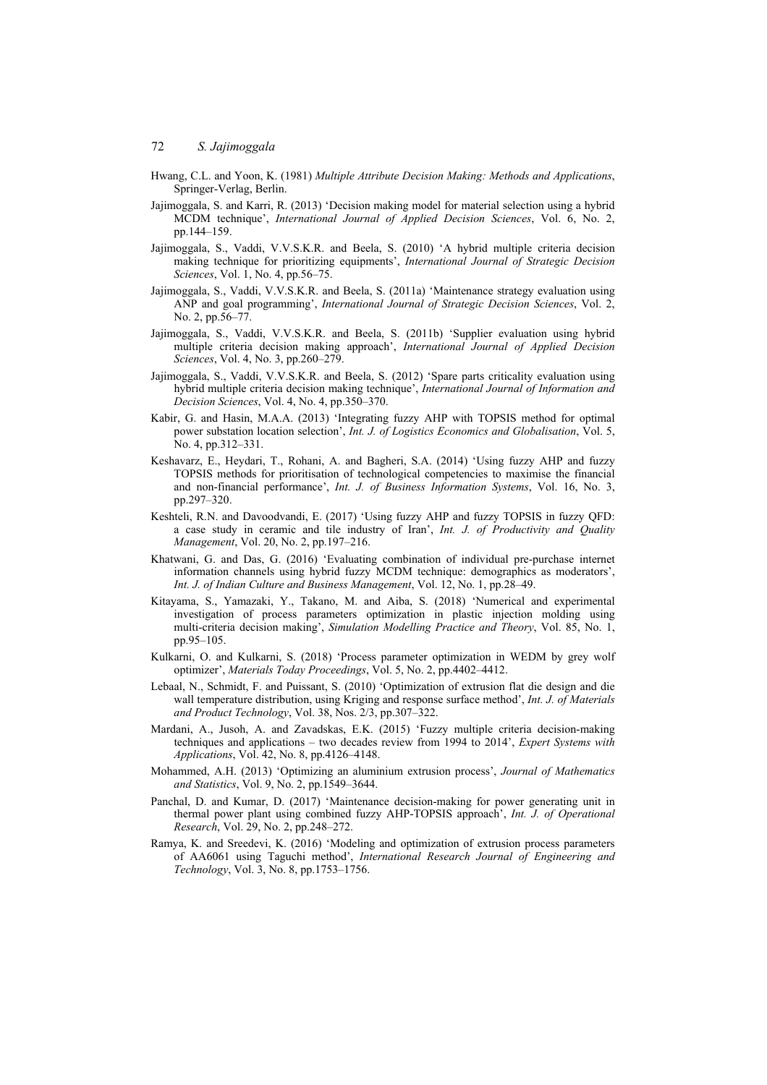- Hwang, C.L. and Yoon, K. (1981) *Multiple Attribute Decision Making: Methods and Applications*, Springer-Verlag, Berlin.
- Jajimoggala, S. and Karri, R. (2013) 'Decision making model for material selection using a hybrid MCDM technique', *International Journal of Applied Decision Sciences*, Vol. 6, No. 2, pp.144–159.
- Jajimoggala, S., Vaddi, V.V.S.K.R. and Beela, S. (2010) 'A hybrid multiple criteria decision making technique for prioritizing equipments', *International Journal of Strategic Decision Sciences*, Vol. 1, No. 4, pp.56–75.
- Jajimoggala, S., Vaddi, V.V.S.K.R. and Beela, S. (2011a) 'Maintenance strategy evaluation using ANP and goal programming', *International Journal of Strategic Decision Sciences*, Vol. 2, No. 2, pp.56–77.
- Jajimoggala, S., Vaddi, V.V.S.K.R. and Beela, S. (2011b) 'Supplier evaluation using hybrid multiple criteria decision making approach', *International Journal of Applied Decision Sciences*, Vol. 4, No. 3, pp.260–279.
- Jajimoggala, S., Vaddi, V.V.S.K.R. and Beela, S. (2012) 'Spare parts criticality evaluation using hybrid multiple criteria decision making technique', *International Journal of Information and Decision Sciences*, Vol. 4, No. 4, pp.350–370.
- Kabir, G. and Hasin, M.A.A. (2013) 'Integrating fuzzy AHP with TOPSIS method for optimal power substation location selection', *Int. J. of Logistics Economics and Globalisation*, Vol. 5, No. 4, pp.312–331.
- Keshavarz, E., Heydari, T., Rohani, A. and Bagheri, S.A. (2014) 'Using fuzzy AHP and fuzzy TOPSIS methods for prioritisation of technological competencies to maximise the financial and non-financial performance', *Int. J. of Business Information Systems*, Vol. 16, No. 3, pp.297–320.
- Keshteli, R.N. and Davoodvandi, E. (2017) 'Using fuzzy AHP and fuzzy TOPSIS in fuzzy QFD: a case study in ceramic and tile industry of Iran', *Int. J. of Productivity and Quality Management*, Vol. 20, No. 2, pp.197–216.
- Khatwani, G. and Das, G. (2016) 'Evaluating combination of individual pre-purchase internet information channels using hybrid fuzzy MCDM technique: demographics as moderators', *Int. J. of Indian Culture and Business Management*, Vol. 12, No. 1, pp.28–49.
- Kitayama, S., Yamazaki, Y., Takano, M. and Aiba, S. (2018) 'Numerical and experimental investigation of process parameters optimization in plastic injection molding using multi-criteria decision making', *Simulation Modelling Practice and Theory*, Vol. 85, No. 1, pp.95–105.
- Kulkarni, O. and Kulkarni, S. (2018) 'Process parameter optimization in WEDM by grey wolf optimizer', *Materials Today Proceedings*, Vol. 5, No. 2, pp.4402–4412.
- Lebaal, N., Schmidt, F. and Puissant, S. (2010) 'Optimization of extrusion flat die design and die wall temperature distribution, using Kriging and response surface method', *Int. J. of Materials and Product Technology*, Vol. 38, Nos. 2/3, pp.307–322.
- Mardani, A., Jusoh, A. and Zavadskas, E.K. (2015) 'Fuzzy multiple criteria decision-making techniques and applications – two decades review from 1994 to 2014', *Expert Systems with Applications*, Vol. 42, No. 8, pp.4126–4148.
- Mohammed, A.H. (2013) 'Optimizing an aluminium extrusion process', *Journal of Mathematics and Statistics*, Vol. 9, No. 2, pp.1549–3644.
- Panchal, D. and Kumar, D. (2017) 'Maintenance decision-making for power generating unit in thermal power plant using combined fuzzy AHP-TOPSIS approach', *Int. J. of Operational Research*, Vol. 29, No. 2, pp.248–272.
- Ramya, K. and Sreedevi, K. (2016) 'Modeling and optimization of extrusion process parameters of AA6061 using Taguchi method', *International Research Journal of Engineering and Technology*, Vol. 3, No. 8, pp.1753–1756.